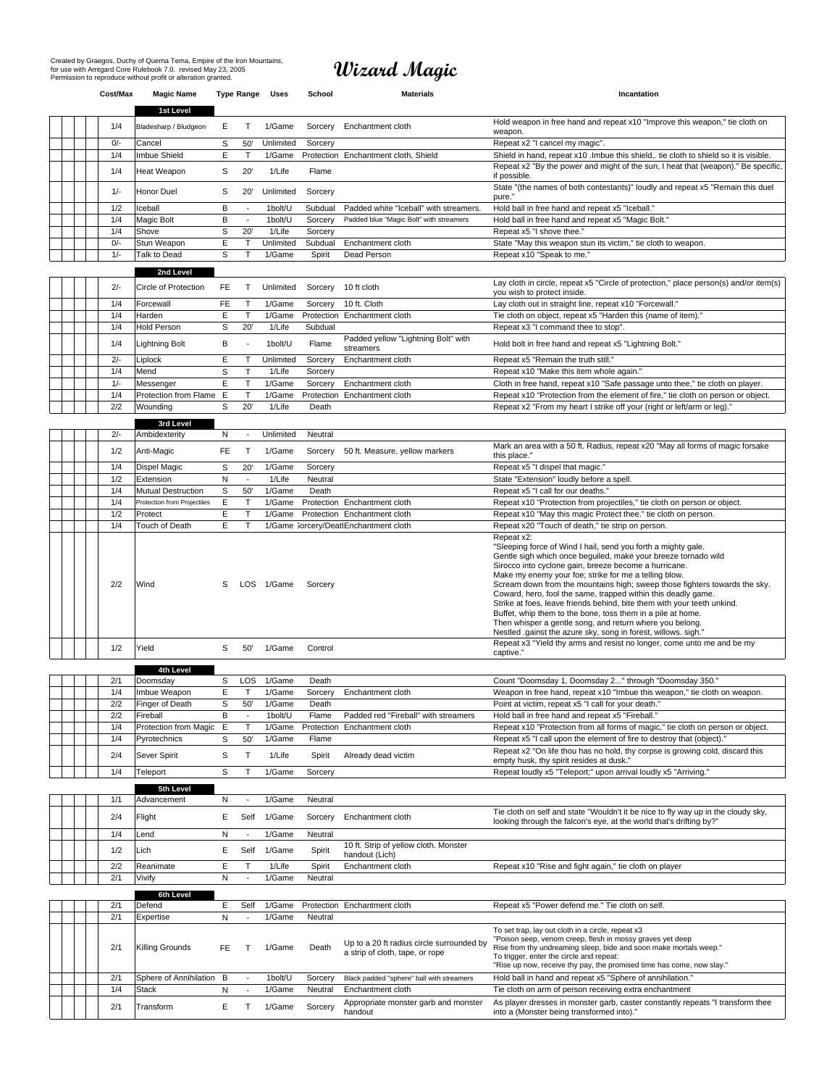# **Wizard Magic**

|  | Cost/Max   | <b>Magic Name</b>           |        | <b>Type Range</b>            | Uses             | School           | <b>Materials</b>                                                             | Incantation                                                                                                                                                                                                                                                                                                                                                                                                                                                                                                                                                                                                                                                              |
|--|------------|-----------------------------|--------|------------------------------|------------------|------------------|------------------------------------------------------------------------------|--------------------------------------------------------------------------------------------------------------------------------------------------------------------------------------------------------------------------------------------------------------------------------------------------------------------------------------------------------------------------------------------------------------------------------------------------------------------------------------------------------------------------------------------------------------------------------------------------------------------------------------------------------------------------|
|  |            | 1st Level                   |        |                              |                  |                  |                                                                              | Hold weapon in free hand and repeat x10 "Improve this weapon," tie cloth on                                                                                                                                                                                                                                                                                                                                                                                                                                                                                                                                                                                              |
|  | 1/4        | Bladesharp / Bludgeon       | Е      | $\mathsf{T}$                 | 1/Game           | Sorcery          | Enchantment cloth                                                            | weapon.                                                                                                                                                                                                                                                                                                                                                                                                                                                                                                                                                                                                                                                                  |
|  | $0/-$      | Cancel                      | S      | 50'                          | Unlimited        | Sorcery          |                                                                              | Repeat x2 "I cancel my magic".                                                                                                                                                                                                                                                                                                                                                                                                                                                                                                                                                                                                                                           |
|  | 1/4        | Imbue Shield                | E      | $\mathsf{T}$                 | 1/Game           |                  | Protection Enchantment cloth, Shield                                         | Shield in hand, repeat x10 .Imbue this shield,. tie cloth to shield so it is visible.                                                                                                                                                                                                                                                                                                                                                                                                                                                                                                                                                                                    |
|  | 1/4        | Heat Weapon                 | s      | 20'                          | 1/Life           | Flame            |                                                                              | Repeat x2 "By the power and might of the sun, I heat that (weapon)." Be specific,<br>if possible.                                                                                                                                                                                                                                                                                                                                                                                                                                                                                                                                                                        |
|  | $1/-$      | Honor Duel                  | s      | 20'                          | Unlimited        | Sorcery          |                                                                              | State "(the names of both contestants)" loudly and repeat x5 "Remain this duel<br>pure."                                                                                                                                                                                                                                                                                                                                                                                                                                                                                                                                                                                 |
|  | 1/2        | Iceball                     | B      | $\blacksquare$               | 1bolt/U          | Subdual          | Padded white "Iceball" with streamers.                                       | Hold ball in free hand and repeat x5 "Iceball."                                                                                                                                                                                                                                                                                                                                                                                                                                                                                                                                                                                                                          |
|  | 1/4        | Magic Bolt                  | B      | $\blacksquare$               | 1bolt/U          | Sorcery          | Padded blue "Magic Bolt" with streamers                                      | Hold ball in free hand and repeat x5 "Magic Bolt."                                                                                                                                                                                                                                                                                                                                                                                                                                                                                                                                                                                                                       |
|  | 1/4        | Shove                       | S      | 20'                          | 1/Life           | Sorcery          |                                                                              | Repeat x5 "I shove thee."                                                                                                                                                                                                                                                                                                                                                                                                                                                                                                                                                                                                                                                |
|  | $0/-$      | Stun Weapon                 | E      | $\mathsf{T}$                 | Unlimited        | Subdual          | Enchantment cloth                                                            | State "May this weapon stun its victim," tie cloth to weapon.                                                                                                                                                                                                                                                                                                                                                                                                                                                                                                                                                                                                            |
|  | $1/-$      | Talk to Dead                | S      | T                            | 1/Game           | Spirit           | Dead Person                                                                  | Repeat x10 "Speak to me."                                                                                                                                                                                                                                                                                                                                                                                                                                                                                                                                                                                                                                                |
|  |            | 2nd Level                   |        |                              |                  |                  |                                                                              |                                                                                                                                                                                                                                                                                                                                                                                                                                                                                                                                                                                                                                                                          |
|  |            |                             |        |                              |                  |                  |                                                                              | Lay cloth in circle, repeat x5 "Circle of protection," place person(s) and/or item(s)                                                                                                                                                                                                                                                                                                                                                                                                                                                                                                                                                                                    |
|  | $2/-$      | Circle of Protection        | FE.    | T.                           | Unlimited        | Sorcery          | 10 ft cloth                                                                  | you wish to protect inside.                                                                                                                                                                                                                                                                                                                                                                                                                                                                                                                                                                                                                                              |
|  | 1/4        | Forcewall                   | FE.    | $\mathsf{T}$                 | 1/Game           | Sorcery          | 10 ft. Cloth                                                                 | Lay cloth out in straight line, repeat x10 "Forcewall."                                                                                                                                                                                                                                                                                                                                                                                                                                                                                                                                                                                                                  |
|  | 1/4        | Harden                      | Ε      | T                            | 1/Game           |                  | Protection Enchantment cloth                                                 | Tie cloth on object, repeat x5 "Harden this (name of item)."                                                                                                                                                                                                                                                                                                                                                                                                                                                                                                                                                                                                             |
|  | 1/4        | <b>Hold Person</b>          | S      | 20'                          | 1/Life           | Subdual          |                                                                              | Repeat x3 "I command thee to stop".                                                                                                                                                                                                                                                                                                                                                                                                                                                                                                                                                                                                                                      |
|  | 1/4        | <b>Lightning Bolt</b>       | В      | $\blacksquare$               | 1bolt/U          | Flame            | Padded yellow "Lightning Bolt" with<br>streamers                             | Hold bolt in free hand and repeat x5 "Lightning Bolt."                                                                                                                                                                                                                                                                                                                                                                                                                                                                                                                                                                                                                   |
|  | $2/-$      | Liplock                     | E      | T                            | Unlimited        | Sorcery          | Enchantment cloth                                                            | Repeat x5 "Remain the truth still."                                                                                                                                                                                                                                                                                                                                                                                                                                                                                                                                                                                                                                      |
|  | 1/4        | Mend                        | S      | $\mathsf{T}$                 | 1/Life           | Sorcerv          |                                                                              | Repeat x10 "Make this item whole again."                                                                                                                                                                                                                                                                                                                                                                                                                                                                                                                                                                                                                                 |
|  | $1/-$      | Messenger                   | E      | $\mathsf T$                  | 1/Game           | Sorcery          | Enchantment cloth                                                            | Cloth in free hand, repeat x10 "Safe passage unto thee," tie cloth on player.                                                                                                                                                                                                                                                                                                                                                                                                                                                                                                                                                                                            |
|  | 1/4        | Protection from Flame       | Ε      | T                            | 1/Game           |                  | Protection Enchantment cloth                                                 | Repeat x10 "Protection from the element of fire," tie cloth on person or object.                                                                                                                                                                                                                                                                                                                                                                                                                                                                                                                                                                                         |
|  | 2/2        | Wounding                    | S      | 20'                          | 1/Life           | Death            |                                                                              | Repeat x2 "From my heart I strike off your (right or left/arm or leg)."                                                                                                                                                                                                                                                                                                                                                                                                                                                                                                                                                                                                  |
|  |            | 3rd Level                   |        |                              |                  |                  |                                                                              |                                                                                                                                                                                                                                                                                                                                                                                                                                                                                                                                                                                                                                                                          |
|  | $2/-$      | Ambidexterity               | Ν      | $\blacksquare$               | Unlimited        | Neutral          |                                                                              |                                                                                                                                                                                                                                                                                                                                                                                                                                                                                                                                                                                                                                                                          |
|  | 1/2        | Anti-Magic                  | FE.    | T                            | 1/Game           | Sorcerv          | 50 ft. Measure, yellow markers                                               | Mark an area with a 50 ft. Radius, repeat x20 "May all forms of magic forsake                                                                                                                                                                                                                                                                                                                                                                                                                                                                                                                                                                                            |
|  |            |                             |        |                              |                  |                  |                                                                              | this place."                                                                                                                                                                                                                                                                                                                                                                                                                                                                                                                                                                                                                                                             |
|  | 1/4        | <b>Dispel Magic</b>         | S      | 20'                          | 1/Game           | Sorcery          |                                                                              | Repeat x5 "I dispel that magic."                                                                                                                                                                                                                                                                                                                                                                                                                                                                                                                                                                                                                                         |
|  | 1/2        | Extension                   | N      | $\blacksquare$               | 1/Life           | Neutral          |                                                                              | State "Extension" loudly before a spell.                                                                                                                                                                                                                                                                                                                                                                                                                                                                                                                                                                                                                                 |
|  | 1/4        | <b>Mutual Destruction</b>   | S      | 50'                          | 1/Game           | Death            |                                                                              | Repeat x5 "I call for our deaths."                                                                                                                                                                                                                                                                                                                                                                                                                                                                                                                                                                                                                                       |
|  | 1/4        | Protection from Projectiles | E      | $\mathsf{T}$                 | 1/Game           |                  | Protection Enchantment cloth                                                 | Repeat x10 "Protection from projectiles," tie cloth on person or object.                                                                                                                                                                                                                                                                                                                                                                                                                                                                                                                                                                                                 |
|  | 1/2<br>1/4 | Protect<br>Touch of Death   | E<br>E | $\mathsf{T}$<br>$\mathsf{T}$ | 1/Game           |                  | Protection Enchantment cloth<br>1/Game Sorcery/DeatlEnchantment cloth        | Repeat x10 "May this magic Protect thee." tie cloth on person.<br>Repeat x20 "Touch of death," tie strip on person.                                                                                                                                                                                                                                                                                                                                                                                                                                                                                                                                                      |
|  |            |                             |        |                              |                  |                  |                                                                              | Repeat x2:                                                                                                                                                                                                                                                                                                                                                                                                                                                                                                                                                                                                                                                               |
|  | 2/2        | Wind                        | s      |                              | LOS 1/Game       | Sorcery          |                                                                              | "Sleeping force of Wind I hail, send you forth a mighty gale.<br>Gentle sigh which once beguiled, make your breeze tornado wild<br>Sirocco into cyclone gain, breeze become a hurricane.<br>Make my enemy your foe; strike for me a telling blow.<br>Scream down from the mountains high; sweep those fighters towards the sky.<br>Coward, hero, fool the same, trapped within this deadly game.<br>Strike at foes, leave friends behind, bite them with your teeth unkind.<br>Buffet, whip them to the bone, toss them in a pile at home.<br>Then whisper a gentle song, and return where you belong.<br>Nestled .gainst the azure sky, song in forest, willows. sigh." |
|  | 1/2        | Yield                       | s      | 50'                          | 1/Game           | Control          |                                                                              | Repeat x3 "Yield thy arms and resist no longer, come unto me and be my<br>captive."                                                                                                                                                                                                                                                                                                                                                                                                                                                                                                                                                                                      |
|  |            |                             |        |                              |                  |                  |                                                                              |                                                                                                                                                                                                                                                                                                                                                                                                                                                                                                                                                                                                                                                                          |
|  |            | 4th Level                   |        |                              |                  |                  |                                                                              |                                                                                                                                                                                                                                                                                                                                                                                                                                                                                                                                                                                                                                                                          |
|  | 2/1<br>1/4 | Doomsday<br>Imbue Weapon    | S<br>E | LOS<br>T                     | 1/Game<br>1/Game | Death<br>Sorcery | Enchantment cloth                                                            | Count "Doomsday 1, Doomsday 2" through "Doomsday 350."<br>Weapon in free hand, repeat x10 "Imbue this weapon," tie cloth on weapon.                                                                                                                                                                                                                                                                                                                                                                                                                                                                                                                                      |
|  | 2/2        | Finger of Death             | s      | 50                           | 1/Game           | Death            |                                                                              | Point at victim, repeat x5 "I call for your death.                                                                                                                                                                                                                                                                                                                                                                                                                                                                                                                                                                                                                       |
|  | 2/2        | Fireball                    | В      | $\overline{\phantom{a}}$     | 1bolt/U          | Flame            | Padded red "Fireball" with streamers                                         | Hold ball in free hand and repeat x5 "Fireball."                                                                                                                                                                                                                                                                                                                                                                                                                                                                                                                                                                                                                         |
|  | 1/4        | Protection from Magic       | Ε      | $\mathsf T$                  | 1/Game           | Protection       | Enchantment cloth                                                            | Repeat x10 "Protection from all forms of magic," tie cloth on person or object.                                                                                                                                                                                                                                                                                                                                                                                                                                                                                                                                                                                          |
|  | 1/4        | Pyrotechnics                | S      | 50'                          | 1/Game           | Flame            |                                                                              | Repeat x5 "I call upon the element of fire to destroy that (object)."                                                                                                                                                                                                                                                                                                                                                                                                                                                                                                                                                                                                    |
|  |            |                             |        |                              |                  |                  |                                                                              | Repeat x2 "On life thou has no hold, thy corpse is growing cold, discard this                                                                                                                                                                                                                                                                                                                                                                                                                                                                                                                                                                                            |
|  | 2/4        | Sever Spirit                | S      | $\top$                       | 1/Life           | Spirit           | Already dead victim                                                          | empty husk, thy spirit resides at dusk."                                                                                                                                                                                                                                                                                                                                                                                                                                                                                                                                                                                                                                 |
|  | 1/4        | Teleport                    | S      | T                            | 1/Game           | Sorcery          |                                                                              | Repeat loudly x5 "Teleport;" upon arrival loudly x5 "Arriving."                                                                                                                                                                                                                                                                                                                                                                                                                                                                                                                                                                                                          |
|  |            | 5th Level                   |        |                              |                  |                  |                                                                              |                                                                                                                                                                                                                                                                                                                                                                                                                                                                                                                                                                                                                                                                          |
|  | 1/1        | Advancement                 | Ν      | $\overline{\phantom{a}}$     | 1/Game           | Neutral          |                                                                              |                                                                                                                                                                                                                                                                                                                                                                                                                                                                                                                                                                                                                                                                          |
|  | 2/4        | Flight                      | Ε      | Self                         | 1/Game           | Sorcery          | Enchantment cloth                                                            | Tie cloth on self and state "Wouldn't it be nice to fly way up in the cloudy sky,<br>looking through the falcon's eye, at the world that's drifting by?"                                                                                                                                                                                                                                                                                                                                                                                                                                                                                                                 |
|  | 1/4        | Lend                        | Ν      | $\sim$                       | 1/Game           | Neutral          |                                                                              |                                                                                                                                                                                                                                                                                                                                                                                                                                                                                                                                                                                                                                                                          |
|  | 1/2        | Lich                        | Ε      | Self                         | 1/Game           | Spirit           | 10 ft. Strip of yellow cloth. Monster                                        |                                                                                                                                                                                                                                                                                                                                                                                                                                                                                                                                                                                                                                                                          |
|  |            |                             |        |                              |                  |                  | handout (Lich)                                                               |                                                                                                                                                                                                                                                                                                                                                                                                                                                                                                                                                                                                                                                                          |
|  | 2/2        | Reanimate                   | E      | T                            | 1/Life           | Spirit           | Enchantment cloth                                                            | Repeat x10 "Rise and fight again," tie cloth on player                                                                                                                                                                                                                                                                                                                                                                                                                                                                                                                                                                                                                   |
|  | 2/1        | Vivify                      | N      | $\blacksquare$               | 1/Game           | Neutral          |                                                                              |                                                                                                                                                                                                                                                                                                                                                                                                                                                                                                                                                                                                                                                                          |
|  |            | 6th Level                   |        |                              |                  |                  |                                                                              |                                                                                                                                                                                                                                                                                                                                                                                                                                                                                                                                                                                                                                                                          |
|  | 2/1        | Defend                      | Ε      | Self                         | 1/Game           |                  | Protection Enchantment cloth                                                 | Repeat x5 "Power defend me." Tie cloth on self.                                                                                                                                                                                                                                                                                                                                                                                                                                                                                                                                                                                                                          |
|  | 2/1        | Expertise                   | N      | $\overline{\phantom{a}}$     | 1/Game           | Neutral          |                                                                              |                                                                                                                                                                                                                                                                                                                                                                                                                                                                                                                                                                                                                                                                          |
|  | 2/1        | Killing Grounds             | FE     | т                            | 1/Game           | Death            | Up to a 20 ft radius circle surrounded by<br>a strip of cloth, tape, or rope | To set trap, lay out cloth in a circle, repeat x3<br>"Poison seep, venom creep, flesh in mossy graves yet deep<br>Rise from thy undreaming sleep, bide and soon make mortals weep."<br>To trigger, enter the circle and repeat:<br>"Rise up now, receive thy pay, the promised time has come, now slay."                                                                                                                                                                                                                                                                                                                                                                 |
|  | 2/1        | Sphere of Annihilation B    |        | $\overline{\phantom{a}}$     | 1bolt/U          | Sorcery          | Black padded "sphere" ball with streamers                                    | Hold ball in hand and repeat x5 "Sphere of annihilation."                                                                                                                                                                                                                                                                                                                                                                                                                                                                                                                                                                                                                |
|  | 1/4        | <b>Stack</b>                | N      | $\blacksquare$               | 1/Game           | Neutral          | Enchantment cloth                                                            | Tie cloth on arm of person receiving extra enchantment                                                                                                                                                                                                                                                                                                                                                                                                                                                                                                                                                                                                                   |

Appropriate monster garb and monster handout

Transform Figally Transform Chart Times Sorcery Appropriate monster garb and monster As player dresses in monster garb, caster constantly repeats "I transform thee handout handout the a (Monster being transformed into)."

E T 1/Game Sorcery